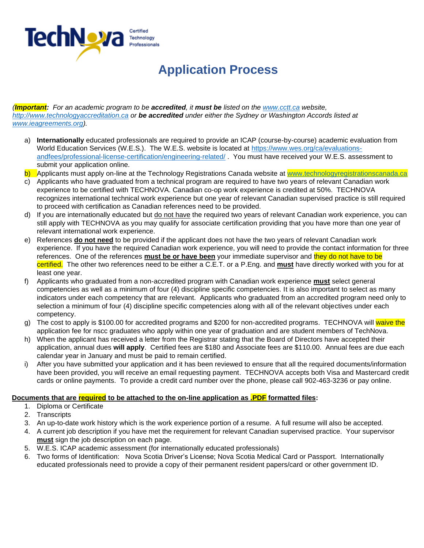

## **Application Process**

*(Important: For an academic program to be accredited, it must be listed on the [www.cctt.ca](http://www.cctt.ca/) [w](http://www.cctt.ca/)ebsite, [http://www.technologyaccreditation.ca](http://www.technologyaccreditation.ca/) or be accredited under either the Sydney or Washington Accords listed at [www.ieagreements.org\).](http://www.ieagreements.org/)* 

- a) **Internationally** educated professionals are required to provide an ICAP (course-by-course) academic evaluation from World Education Services (W.E.S.). The W.E.S. website is located at [https://www.wes.org/ca/evaluations](https://www.wes.org/ca/evaluations-and-fees/professional-license-certification/engineering-related/)[andfees/professional-license-certification/engineering-related/](https://www.wes.org/ca/evaluations-and-fees/professional-license-certification/engineering-related/) . You must have received your W.E.S. assessment to submit your application online.
- b) Applicants must apply on-line at the Technology Registrations Canada website at [www.technologyregistrationscanada.ca](http://www.technologyregistrationscanada.ca/)
- c) Applicants who have graduated from a technical program are required to have two years of relevant Canadian work experience to be certified with TECHNOVA. Canadian co-op work experience is credited at 50%. TECHNOVA recognizes international technical work experience but one year of relevant Canadian supervised practice is still required to proceed with certification as Canadian references need to be provided.
- d) If you are internationally educated but do not have the required two years of relevant Canadian work experience, you can still apply with TECHNOVA as you may qualify for associate certification providing that you have more than one year of relevant international work experience.
- e) References **do not need** to be provided if the applicant does not have the two years of relevant Canadian work experience. If you have the required Canadian work experience, you will need to provide the contact information for three references. One of the references **must be or have been** your immediate supervisor and they do not have to be certified. The other two references need to be either a C.E.T. or a P.Eng. and **must** have directly worked with you for at least one year.
- f) Applicants who graduated from a non-accredited program with Canadian work experience **must** select general competencies as well as a minimum of four (4) discipline specific competencies. It is also important to select as many indicators under each competency that are relevant. Applicants who graduated from an accredited program need only to selection a minimum of four (4) discipline specific competencies along with all of the relevant objectives under each competency.
- g) The cost to apply is \$100.00 for accredited programs and \$200 for non-accredited programs. TECHNOVA will waive the application fee for nscc graduates who apply within one year of graduation and are student members of TechNova.
- h) When the applicant has received a letter from the Registrar stating that the Board of Directors have accepted their application, annual dues **will apply**. Certified fees are \$180 and Associate fees are \$110.00. Annual fees are due each calendar year in January and must be paid to remain certified.
- i) After you have submitted your application and it has been reviewed to ensure that all the required documents/information have been provided, you will receive an email requesting payment. TECHNOVA accepts both Visa and Mastercard credit cards or online payments. To provide a credit card number over the phone, please call 902-463-3236 or pay online.

## **Documents that are required to be attached to the on-line application as .PDF formatted files:**

- 1. Diploma or Certificate
- 2. Transcripts
- 3. An up-to-date work history which is the work experience portion of a resume. A full resume will also be accepted.
- 4. A current job description if you have met the requirement for relevant Canadian supervised practice. Your supervisor **must** sign the job description on each page.
- 5. W.E.S. ICAP academic assessment (for internationally educated professionals)
- 6. Two forms of Identification: Nova Scotia Driver's License; Nova Scotia Medical Card or Passport. Internationally educated professionals need to provide a copy of their permanent resident papers/card or other government ID.